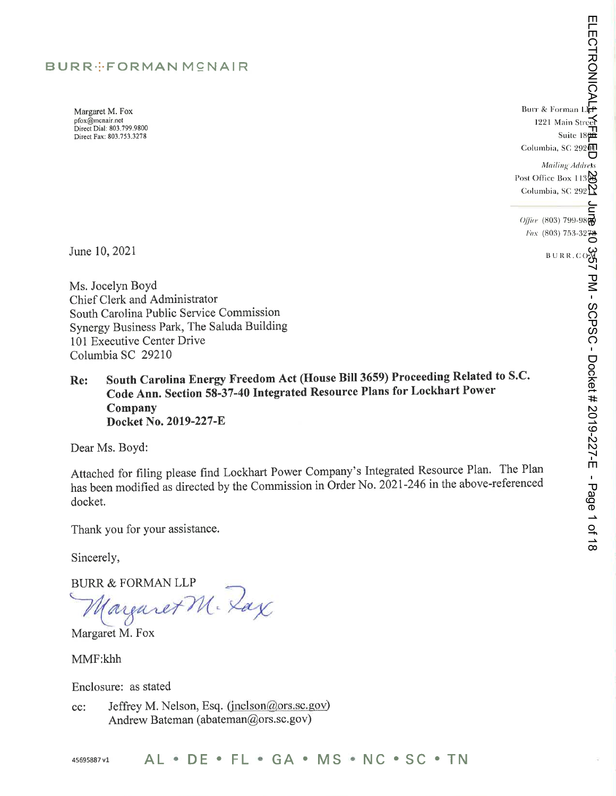### BURR ... FORMAN MCNAIR

Margaret M. Fox pfox@mcnair.net Direct Dial: 803,799,9800 Direct Fax: 803.733.3278

**ELECTRONICAL5** ELECTRONICAL<br>ELECTRONICAL Burr & Forman L Main Street Suite 18<br>Columbia, SC 29201 Suite 18 Mailing Address Post Office Box 113 $\omega$ Columbia, SC 292 $\gamma$ Columbia, SC 292

 $\frac{1}{\sqrt{10}}$  (803) 799-98 *Fax* (803) 753-3278

 $B \cup R R$ .  $C$ 

ب<br>25<br>ا

PM - SCPSC -

Docket

#

2019-227-E

- Page  $\overline{\phantom{0}}$ ቧ  $\vec{\infty}$ 

June 10, 2021

Ms. Jocelyn Boyd Chief Clerk and Administrator South Carolina Public Service Commission Synergy Business Park, The Saluda Building 101 Executive Center Drive Columbia SC 29210

Re: South Carolina Energy Freedom Act (House Bill 3659) Proceeding Related to S.C. Code Ann. Section 58-37-40 Integrated Resource Plans for Lockhart Power Company Docket No. 2019-227-E

Dear Ms. Boyd:

Attached for filing please find Lockhart Power Company's Integrated Resource Plan. The Plan has been modified as directed by the Commission in Order No. 2021-246 in the above-referenced docket.

Thank you for your assistance.

Sincerely,

BURR & FORMAN LLP<br>Marguret M. Zax

Margaret M. Fox

MMF:khh

Enclosure: as stated

Jeffrey M. Nelson, Esq. (jnelson@ors.sc.gov) cc: Andrew Bateman (abateman@ors.sc.gov)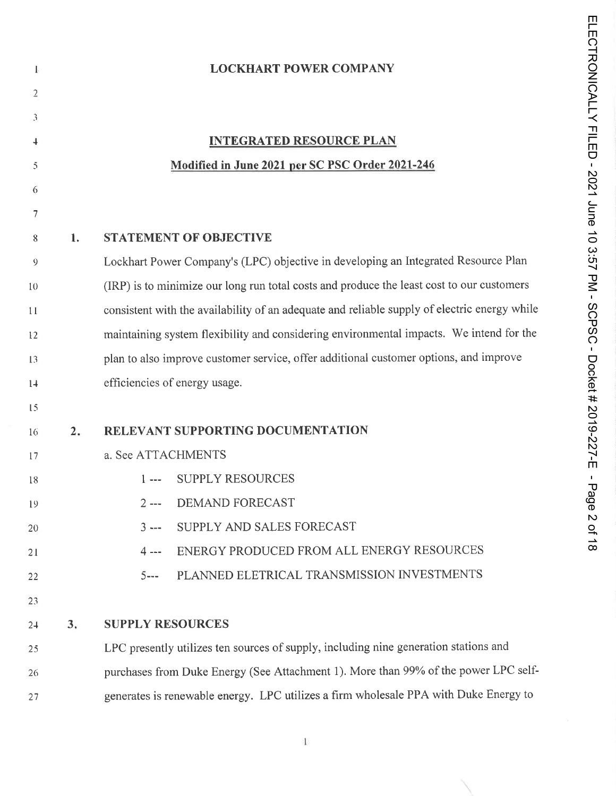| <b>LOCKHART POWER COMPANY</b> |  |  |
|-------------------------------|--|--|
|                               |  |  |
|                               |  |  |

### INTEGRATED RESOURCE PLAN Modified in June 2021 per SC PSC Order 2021-246

### 8 1. STATEMENT OF OBJECTIVE

Lockhart Power Company's (LPC) objective in developing an Integrated Resource Plan  $\overline{9}$ (IRP) is to minimize our long run total costs and produce the least cost to our customers to consistent with the availability of an adequate and reliable supply of electric energy while  $11$ maintaining system flexibility and considering environmental impacts. We intend for the t2 plan to also improve customer service, offer additional customer options, and improve  $13$ efficiencies of energy usage.  $1+$ 

### $15$

 $\mathbf{I}_2$ 

 $\overline{2}$ 

 $\mathfrak{Z}$ 

 $\ddot{\phantom{1}}$ 

 $\bar{5}$ 

6

 $\overline{7}$ 

| 16    | 2. | RELEVANT SUPPORTING DOCUMENTATION                                                    |
|-------|----|--------------------------------------------------------------------------------------|
| 17    |    | a. See ATTACHMENTS                                                                   |
| 18    |    | 1--- SUPPLY RESOURCES                                                                |
| 19    |    | 2 --- DEMAND FORECAST                                                                |
| 20    |    | 3 --- SUPPLY AND SALES FORECAST                                                      |
| 21    |    | ENERGY PRODUCED FROM ALL ENERGY RESOURCES<br>$4 - -$                                 |
| 22    |    | 5--- PLANNED ELETRICAL TRANSMISSION INVESTMENTS                                      |
| 23    |    |                                                                                      |
| $2 +$ | 3. | <b>SUPPLY RESOURCES</b>                                                              |
| 25    |    | LPC presently utilizes ten sources of supply, including nine generation stations and |

26 27 purchases from Duke Energy (See Attachment I). More than 99% of the power LPC selfgenerates is renewable energy. LPC utilizes a firm wholesale PPA with Duke Energy to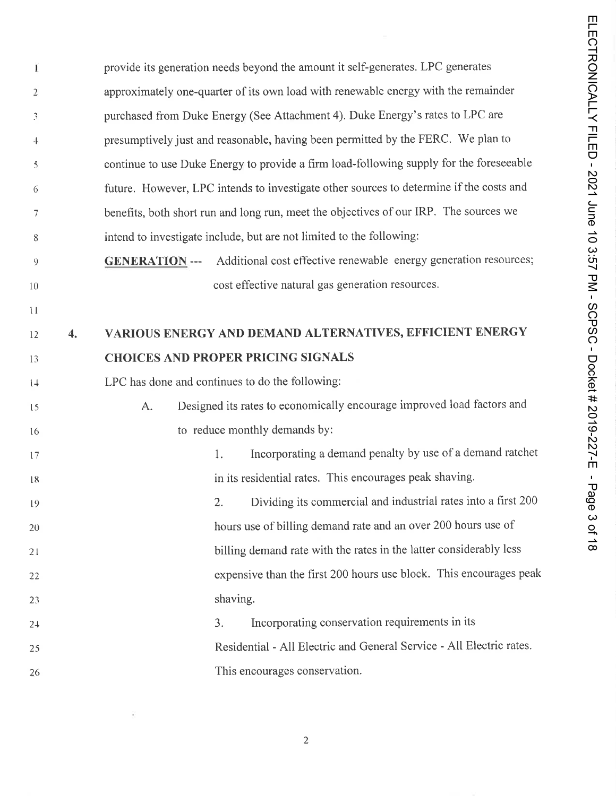provide its generation needs beyond the amount it self-generates. LPC generates T approximately one-quarter of its own load with renewable energy with the remainder  $\overline{2}$ purchased from Duke Energy (See Attachment 4). Duke Energy's rates to LPC are  $\mathfrak{Z}$ presumptively just and reasonable, having been permitted by the FERC. We plan to  $\downarrow$ continue to use Duke Energy to provide a firm load-following supply for the foreseeable 5 future. However, LPC intends to investigate other sources to determine if the costs and 6 benefits, both short run and long run, meet the objectives of our IRP. The sources we  $\overline{7}$ intend to investigate include, but are not limited to the following: 8 GENERATION --- Additional cost effective renewable energy generation resources;  $\overline{9}$ cost effective natural gas generation resources. 10  $\mathbf{H}$ VARIOUS ENERGY AND DEMAND ALTERNATIVES, EFFICIENT ENERGY  $\overline{4}$ . 12 CHOICES AND PROPER PRICING SIGNALS 13 LPC has done and continues to do the following;  $1+$ A. Designed its rates to economically encourage improved load factors and  $15$ to reduce monthly demands by: 16 l. Incorporating a demand penalty by use of a demand ratchet 17 in its residential rates. This encourages peak shaving. 18 2. Dividing its commercial and industrial rates into a first 200 10 hours use of billing demand rate and an over 200 hours use of 20 billing demand rate with the rates in the latter considerably less 21 expensive than the first 200 hours use block. This encourages peak 22 shaving. 22 3. Incorporating conservation requirements in its 24 Residential - All Electric and General Service - All Electric rates. 25 This encourages conservation.26

 $\overline{c}$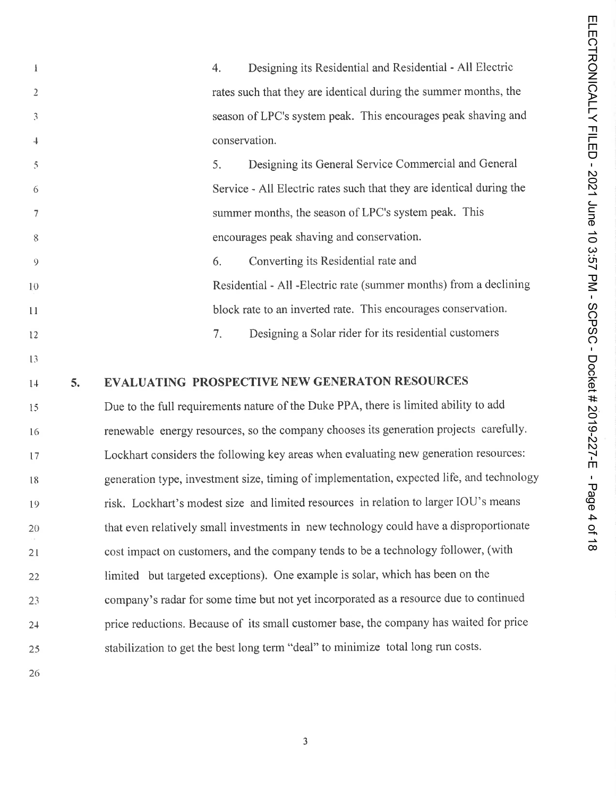| 1              |    | 4. | Designing its Residential and Residential - All Electric                                  |
|----------------|----|----|-------------------------------------------------------------------------------------------|
| $\overline{2}$ |    |    | rates such that they are identical during the summer months, the                          |
| 3              |    |    | season of LPC's system peak. This encourages peak shaving and                             |
| 4              |    |    | conservation.                                                                             |
| 5              |    | 5. | Designing its General Service Commercial and General                                      |
| 6              |    |    | Service - All Electric rates such that they are identical during the                      |
| 7              |    |    | summer months, the season of LPC's system peak. This                                      |
| 8              |    |    | encourages peak shaving and conservation.                                                 |
| 9              |    | 6. | Converting its Residential rate and                                                       |
| 10             |    |    | Residential - All - Electric rate (summer months) from a declining                        |
| 11             |    |    | block rate to an inverted rate. This encourages conservation.                             |
| 12             |    | 7. | Designing a Solar rider for its residential customers                                     |
| 13             |    |    |                                                                                           |
| 14             | 5. |    | <b>EVALUATING PROSPECTIVE NEW GENERATON RESOURCES</b>                                     |
| 15             |    |    | Due to the full requirements nature of the Duke PPA, there is limited ability to add      |
| 16             |    |    | renewable energy resources, so the company chooses its generation projects carefully.     |
| 17             |    |    | Lockhart considers the following key areas when evaluating new generation resources:      |
| 18             |    |    | generation type, investment size, timing of implementation, expected life, and technology |
| 19             |    |    | risk. Lockhart's modest size and limited resources in relation to larger IOU's means      |
| 20             |    |    | that even relatively small investments in new technology could have a disproportionate    |
| 21             |    |    | cost impact on customers, and the company tends to be a technology follower, (with        |
| 22             |    |    | limited but targeted exceptions). One example is solar, which has been on the             |
| 23             |    |    | company's radar for some time but not yet incorporated as a resource due to continued     |
| $2+$           |    |    | price reductions. Because of its small customer base, the company has waited for price    |
| 25             |    |    | stabilization to get the best long term "deal" to minimize total long run costs.          |
|                |    |    |                                                                                           |

26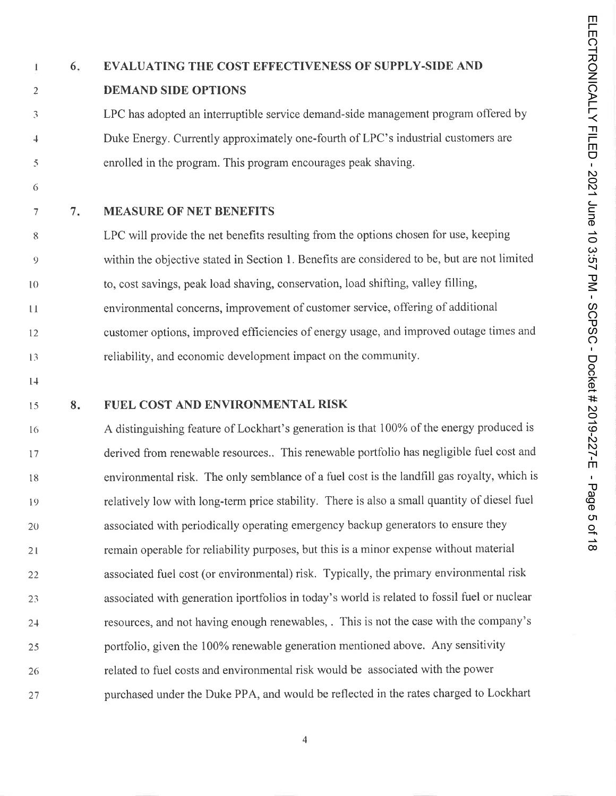### Ť

 $\overline{2}$ 

 $\mathfrak{Z}$ 

 $\overline{+}$ 

5

### 6. EVALUATING THE COST EFFECTIVENESS OF SUPPLY-SIDE AND DEMAND SIDE OPTIONS

LPC has adopted an interruptible service demand-side management program offered by Duke Energy. Currently approximately one-fourth of LPC's industrial customers are enrolled in the program. This program encourages peak shaving.

6

 $\overline{7}$ 7. MEASURE OF NET BENEFITS

LPC will provide the net benefits resulting from the options chosen for use, keeping 8 within the objective stated in Section 1. Benefits are considered to be, but are not limited 9 to, cost savings, peak load shaving, conservation, load shifting, valley filling, 10 environmental concerns, improvement of customer service, offering of additional  $\mathbf{1}$ customer options, improved efficiencies of energy usage, and improved outage times and 12 reliability, and economic development impact on the community. 13

 $14$ 

### 8. FUEL COST AND ENVIRONMENTAL RISK 15

A distinguishing feature of Lockhart's generation is that 100% of the energy produced is 16 derived from renewable resources.. This renewable portfolio has negligible fuel cost and 17 environmental risk. The only semblance of a fuel cost is the landfill gas royalty, which is 18 relatively low with long-term price stability. There is also a small quantity of diesel fuel 19 associated with periodically operating emergency backup generators to ensure they 20 remain operable for reliability purposes, but this is a minor expense without material 21 associated fuel cost (or environmental) risk. Typically, the primary environmental risk 22 associated with generation iportfolios in today's world is related to fossil fuel or nuclear 23 resources, and not having enough renewables, . This is not the case with the company's 2-1 portfolio, given the 100% renewable generation mentioned above. Any sensitivity  $25$ related to fuel costs and environmental risk would be associated with the power 26 purchased under the Duke PPA, and would be reflected in the rates charged to Lockhart27

 $\overline{4}$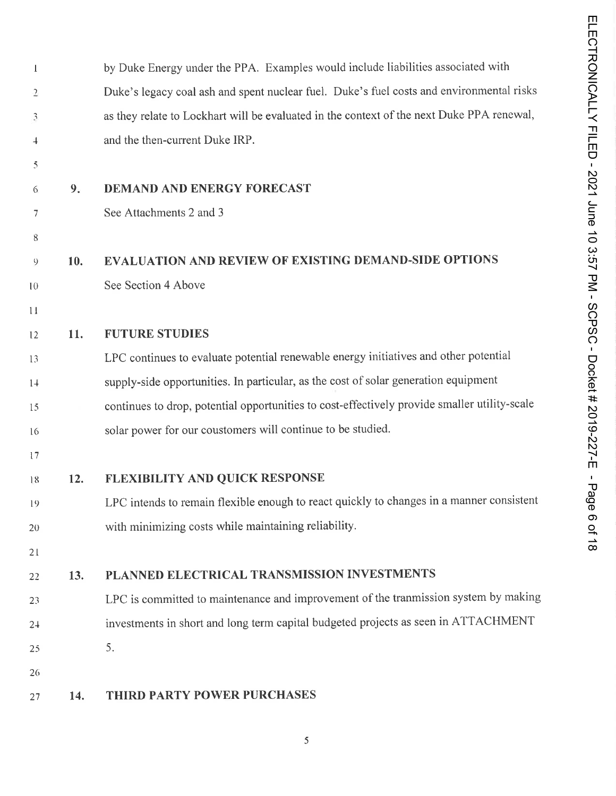| $\perp$        |     | by Duke Energy under the PPA. Examples would include liabilities associated with             |
|----------------|-----|----------------------------------------------------------------------------------------------|
| $\overline{2}$ |     | Duke's legacy coal ash and spent nuclear fuel. Duke's fuel costs and environmental risks     |
| 3              |     | as they relate to Lockhart will be evaluated in the context of the next Duke PPA renewal,    |
| $\overline{+}$ |     | and the then-current Duke IRP.                                                               |
| 5              |     |                                                                                              |
| 6              | 9.  | <b>DEMAND AND ENERGY FORECAST</b>                                                            |
| 7              |     | See Attachments 2 and 3                                                                      |
| 8              |     |                                                                                              |
| 9              | 10. | <b>EVALUATION AND REVIEW OF EXISTING DEMAND-SIDE OPTIONS</b>                                 |
| 10             |     | See Section 4 Above                                                                          |
| 11             |     |                                                                                              |
| 12             | 11. | <b>FUTURE STUDIES</b>                                                                        |
| 13             |     | LPC continues to evaluate potential renewable energy initiatives and other potential         |
| 14             |     | supply-side opportunities. In particular, as the cost of solar generation equipment          |
| 15             |     | continues to drop, potential opportunities to cost-effectively provide smaller utility-scale |
| 16             |     | solar power for our coustomers will continue to be studied.                                  |
| 17             |     |                                                                                              |
| 18             | 12. | FLEXIBILITY AND QUICK RESPONSE                                                               |
| 19             |     | LPC intends to remain flexible enough to react quickly to changes in a manner consistent     |
| 20             |     | with minimizing costs while maintaining reliability.                                         |
| 21             |     |                                                                                              |
| 22             | 13. | PLANNED ELECTRICAL TRANSMISSION INVESTMENTS                                                  |
| 23             |     | LPC is committed to maintenance and improvement of the tranmission system by making          |
| $2 +$          |     | investments in short and long term capital budgeted projects as seen in ATTACHMENT           |
| 25             |     | 5.                                                                                           |
| 26             |     |                                                                                              |
| 27             | 14. | THIRD PARTY POWER PURCHASES                                                                  |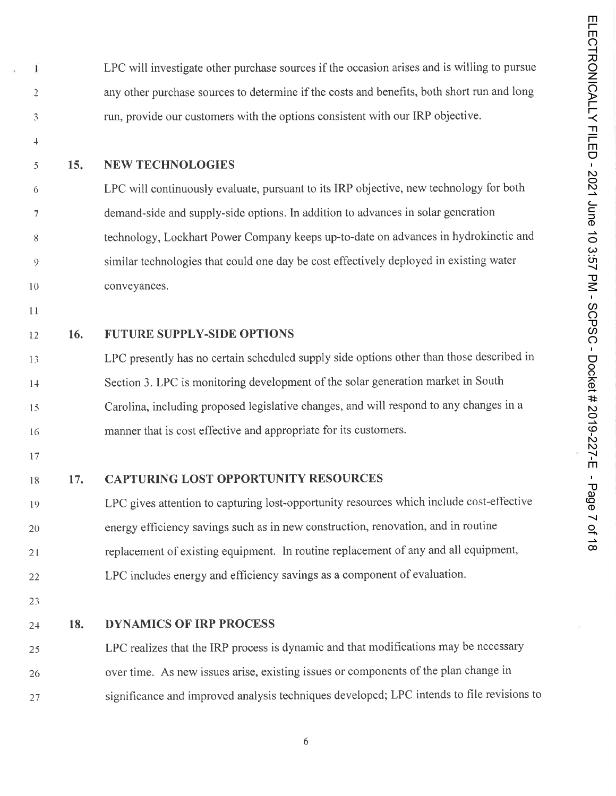LPC will investigate other purchase sources if the occasion arises and is willing to pursue any other purchase sources to determine if the costs and benefits, both short run and long run, provide our customers with the options consistent with our IRP objective.

 $\downarrow$ 

 $\overline{5}$ 

6

 $\overline{7}$ 

8

 $\overline{9}$ 

 $\bf{l}$ 

 $\overline{2}$ 

 $\overline{\mathcal{L}}$ 

### 15. NEW TECHNOLOGIES

LPC will continuously evaluate, pursuant to its IRP objective, new technology for both demand-side and supply-side options. In addition to advances in solar generation technology, Lockhart Power Company keeps up-to-date on advances in hydrokinetic and similar technologies that could one day be cost effectively deployed in existing water conveyances.

 $1\,1$ 

10

### <sup>12</sup> 16. FUTURE SUPPLY-SIDE OPTIONS

LPC presently has no certain scheduled supply side options other than those described in 13 Section 3. LPC is monitoring development of the solar generation market in South  $1+$ Carolina, including proposed legislative changes, and will respond to any changes in a  $15$ manner that is cost effective and appropriate for its customers. 16

17

18

### 17. CAPTURING LOST OPPORTUNITY RESOURCES

LPC gives attention to capturing lost-opportunity resources which include cost-effective 19 energy efficiency savings such as in new construction, renovation, and in routine 20 replacement of existing equipment. In routine replacement of any and all equipment, 21 LPC includes energy and efficiency savings as a component of evaluation. 22

23

### 24 18. DYNAMICS OF IRP PROCESS

LPC realizes that the IRP process is dynamic and that modifications may be necessary  $25$ over time. As new issues arise, existing issues or components of the plan change in 26 significance and improved analysis techniques developed; LPC intends to file revisions to27

 $\boldsymbol{6}$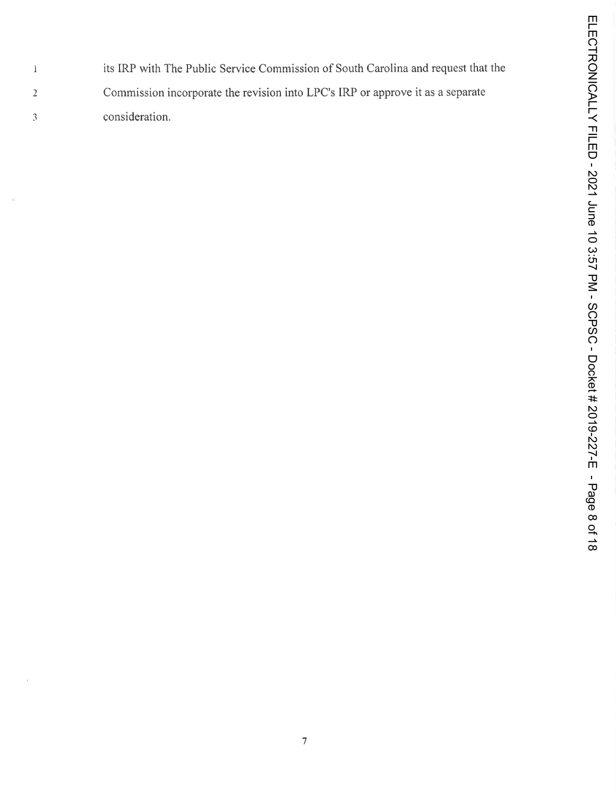its IRP with The Public Service Commission of South Carolina and request that the  $\bf{l}$ Commission incorporate the revision into LPC's IRP or approve it as a separate  $\overline{2}$ consideration. $\mathfrak{Z}$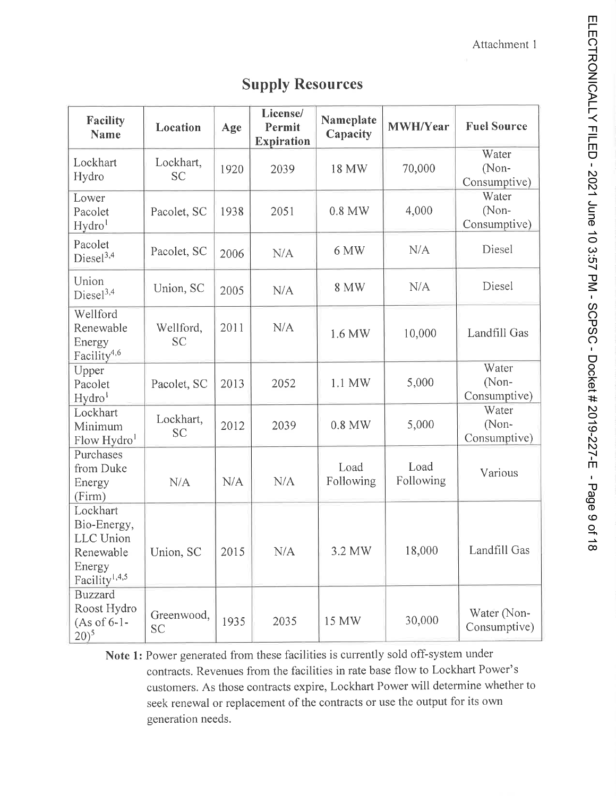| <b>Facility</b><br><b>Name</b>                                                                  | Location                | Age  | License/<br>Permit        | Nameplate<br>Capacity | MWH/Year          | <b>Fuel Source</b>             |
|-------------------------------------------------------------------------------------------------|-------------------------|------|---------------------------|-----------------------|-------------------|--------------------------------|
| Lockhart<br>Hydro                                                                               | Lockhart,<br><b>SC</b>  | 1920 | <b>Expiration</b><br>2039 | 18 MW                 | 70,000            | Water<br>(Non-<br>Consumptive) |
| Lower<br>Pacolet<br>Hydro <sup>1</sup>                                                          | Pacolet, SC             | 1938 | 2051                      | 0.8 MW                | 4,000             | Water<br>(Non-<br>Consumptive) |
| Pacolet<br>Diesel <sup>3,4</sup>                                                                | Pacolet, SC             | 2006 | N/A                       | 6 MW                  | N/A               | Diesel                         |
| Union<br>$Diesel^{3,4}$                                                                         | Union, SC               | 2005 | N/A                       | <b>8 MW</b>           | N/A               | Diesel                         |
| Wellford<br>Renewable<br>Energy<br>Facility <sup>4,6</sup>                                      | Wellford,<br><b>SC</b>  | 2011 | N/A                       | 1.6 MW                | 10,000            | Landfill Gas                   |
| Upper<br>Pacolet<br>Hydro <sup>1</sup>                                                          | Pacolet, SC             | 2013 | 2052                      | 1.1 MW                | 5,000             | Water<br>(Non-<br>Consumptive) |
| Lockhart<br>Minimum<br>Flow Hydro <sup>1</sup>                                                  | Lockhart,<br><b>SC</b>  | 2012 | 2039                      | $0.8$ MW              | 5,000             | Water<br>(Non-<br>Consumptive) |
| Purchases<br>from Duke<br>Energy<br>(Firm)                                                      | N/A                     | N/A  | N/A                       | Load<br>Following     | Load<br>Following | Various                        |
| Lockhart<br>Bio-Energy,<br><b>LLC</b> Union<br>Renewable<br>Energy<br>Facility <sup>1,4,5</sup> | Union, SC               | 2015 | N/A                       | 3.2 MW                | 18,000            | Landfill Gas                   |
| <b>Buzzard</b><br>Roost Hydro<br>$(As of 6-1-$<br>$(20)^5$                                      | Greenwood,<br><b>SC</b> | 1935 | 2035                      | 15 MW                 | 30,000            | Water (Non-<br>Consumptive)    |

### Supply Resources

Note 1: Power generated from these facilities is currently sold off-system under contracts. Revenues from the facilities in rate base flow to Lockhart Power's customers. As those contracts expire, Lockhart Power will determine whether to seek renewal or replacement of the contracts or use the output for its own generation needs.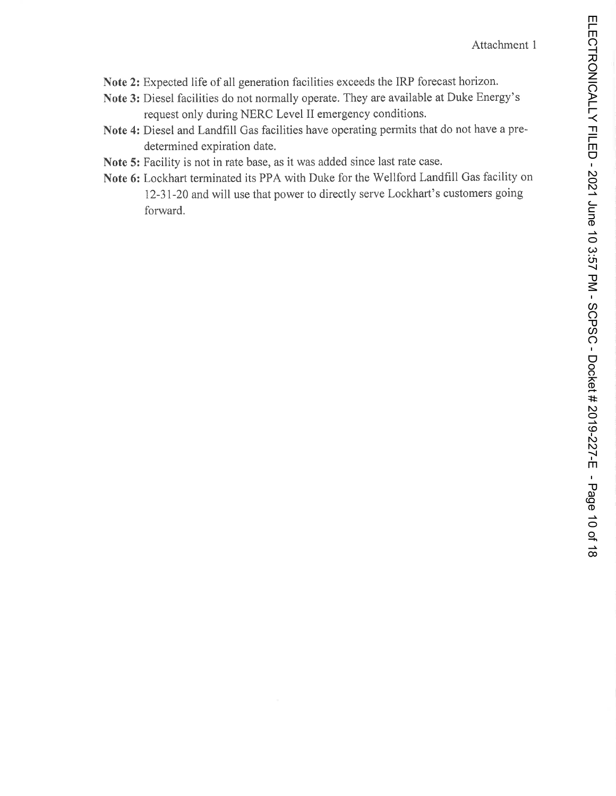- Note 2: Expected life of all generation facilities exceeds the IRP forecast horizon.
- Note 3: Diesel facilities do not normally operate. They are available at Duke Energy's request only during NERC Level II emergency conditions.
- Note 4: Diesel and Landfill Gas facilities have operating permits that do not have a predetermined expiration date.
- Note 5: Facility is not in rate base, as it was added since last rate case.
- Note 6: Lockhart terminated its PPA with Duke for the Wellford Landfill Gas facility on 12-31-20 and will use that power to directly serve Lockhart's customers going forward.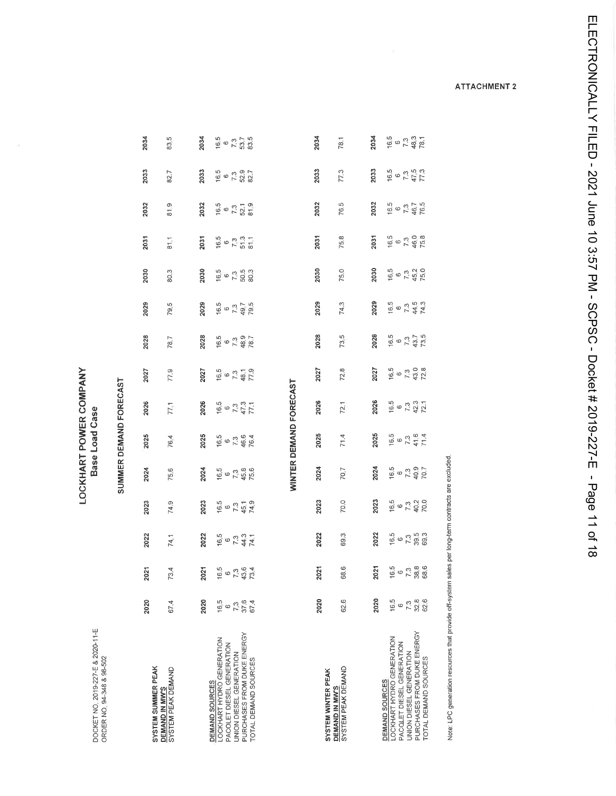| DOCKET NO, 2019-227-E & 2020-11-E<br>ORDER NO. 94-348 & 98-502 |                     |                                     |                                      |                                            | LOCKHART POWER COMPANY             | Base Load Case                             |                                            |                                         |                                     |                                         |                                   |                                         |                                       |                                       |
|----------------------------------------------------------------|---------------------|-------------------------------------|--------------------------------------|--------------------------------------------|------------------------------------|--------------------------------------------|--------------------------------------------|-----------------------------------------|-------------------------------------|-----------------------------------------|-----------------------------------|-----------------------------------------|---------------------------------------|---------------------------------------|
|                                                                |                     |                                     |                                      |                                            | SUMMER DEMAND FORECAST             |                                            |                                            |                                         |                                     |                                         |                                   |                                         |                                       |                                       |
| SYSTEM SUMMER PEAK                                             | 2020                | 2021                                | 2022                                 | 2023                                       | 2024                               | 2025                                       | 2026                                       | 2027                                    | 2028                                | 2029                                    | 2030                              | 2031                                    | 2032                                  | 2033                                  |
| SYSTEM PEAK DEMAND<br><b>DEMAND IN MWS</b>                     | 67.4                | 73.4                                | 74.1                                 | 74.9                                       | 75,6                               | 76,4                                       | 77,1                                       | 77,9                                    | 78.7                                | 79.5                                    | 80.3                              | $\frac{1}{8}$                           | თ<br>$\frac{1}{8}$                    | 82.7                                  |
|                                                                | 2020                | 2021                                | 2022                                 | 2023                                       | 2024                               | 2025                                       | 2026                                       | 2027                                    | 2028                                | 2029                                    | 2030                              | 2031                                    | 2032                                  | 2033                                  |
| LOCKHART HYDRO GENERATION<br>DEMAND SOURCES                    | $16,5$<br>$6$       |                                     |                                      |                                            |                                    |                                            |                                            |                                         |                                     |                                         |                                   |                                         |                                       |                                       |
| PACOLET DIESEL GENERATION<br>UNION DIESEL GENERATION           |                     |                                     |                                      |                                            |                                    |                                            |                                            |                                         |                                     |                                         |                                   |                                         |                                       |                                       |
| PURCHASES FROM DUKE ENERGY<br>TOTAL DEMAND SOURCES             | 7,3<br>37.6<br>67.4 | $16.5$<br>$7.3$<br>$43.6$<br>$73.4$ | $16.5$<br>$6.73$<br>$74.1$<br>$74.1$ | $16.5$<br>$7.3$<br>$45.1$<br>$74.9$        | $16.5$<br>$6.3$<br>$7.3$<br>$75.6$ | $16.5$<br>$7.3$<br>$76.4$<br>76.4          | $16.5$<br>$6$<br>$7.3$<br>$47.3$<br>$77.1$ | $16.5$<br>$6.73$<br>$748$ 1<br>$719$    | $16.5$<br>$7.3$<br>$48.7$<br>$78.7$ | $16.5$<br>$6, 7, 3$<br>$79.5$<br>$79.5$ | $16.5$<br>$7.3$<br>$50.3$         | $16.5$<br>$7.3$<br>$5.7$<br>$3$<br>$11$ | $16.5$<br>$6$ 7.3<br>$52.1$<br>$81.9$ | $16.5$<br>$7.3$<br>$52.7$<br>$82.7$   |
|                                                                |                     |                                     |                                      |                                            |                                    |                                            |                                            |                                         |                                     |                                         |                                   |                                         |                                       |                                       |
|                                                                |                     |                                     |                                      |                                            | WINTER DEMAND FORECAST             |                                            |                                            |                                         |                                     |                                         |                                   |                                         |                                       |                                       |
| SYSTEM WINTER PEAK                                             | 2020                | 2021                                | 2022                                 | 2023                                       | 2024                               | 2025                                       | 2026                                       | 2027                                    | 2028                                | 2029                                    | 2030                              | 2031                                    | 2032                                  | 2033                                  |
| SYSTEM PEAK DEMAND<br><b>DEMAND IN MW'S</b>                    | 62.6                | 68.6                                | 69.3                                 | 70.0                                       | 70.7                               | 71.4                                       | 72.1                                       | 72.8                                    | 73,5                                | 74.3                                    | 75.0                              | 75.8                                    | S<br>76                               | 77.3                                  |
|                                                                | 2020                | 2021                                | 2022                                 | 2023                                       | 2024                               | 2025                                       | 2026                                       | 2027                                    | 2028                                | 2029                                    | 2030                              | 2031                                    | 2032                                  | 2033                                  |
| LOCKHART HYDRO GENERATION<br>DEMAND SOURCES                    |                     |                                     |                                      |                                            |                                    |                                            |                                            |                                         | 6.5                                 | $16.5$<br>6                             |                                   |                                         |                                       |                                       |
| PACQLET DIESEL GENERATION                                      | $16.5$<br>$6.3$     |                                     |                                      |                                            |                                    |                                            |                                            |                                         |                                     |                                         |                                   |                                         |                                       |                                       |
| PURCHASES FROM DUKE ENERGY<br>UNION DIESEL GENERATION          |                     | $16.5$<br>$7.38.8$<br>$68.6$        | 16.5<br>0 7 3 9 3<br>0 9 3 9 1       | $16.5$<br>$6$<br>$7.3$<br>$70.0$<br>$70.0$ | $16.5$<br>$7.3$<br>$40.7$<br>70.7  | $16.5$<br>$6$<br>$7.3$<br>$71.4$<br>$71.4$ | $16.5$<br>$6$ 73<br>$72.1$<br>$72.1$       | $16.5$<br>$6$<br>$73$<br>$728$<br>$728$ | $\frac{73}{43.7}$                   | $7.3$<br>44.5<br>74.3                   | $16.5$<br>$7.3$<br>$45.2$<br>75.0 | $16.5$<br>$7.3$<br>$46.0$<br>75.8       | $16.5$<br>$7.3$<br>$76.7$<br>76.5     | $16.5$<br>$6$ 7.3<br>$77.3$<br>$77.3$ |
| TOTAL DEMAND SOURCES                                           | 32.8<br>62.6        |                                     |                                      |                                            |                                    |                                            |                                            |                                         |                                     |                                         |                                   |                                         |                                       |                                       |
|                                                                |                     |                                     |                                      |                                            |                                    |                                            |                                            |                                         |                                     |                                         |                                   |                                         |                                       |                                       |

 $16.5$ <br> $7.3$ <br> $7.3$ <br> $33.5$ 

2034

83,5

2034

Note: LPC generation resources that provide off-system sales per long-term contracts are excluded.

**ATTACHMENT 2** 

2034

78.1

2034

 $16.5$ <br>  $-7.3$ <br>  $-48.3$ <br>  $-7.3$ <br>  $-16.7$ 

ELECTRONICALLY FILED - 2021 June 10 3:57 PM - SCPSC - Docket # 2019-227-E - Page 11 of 18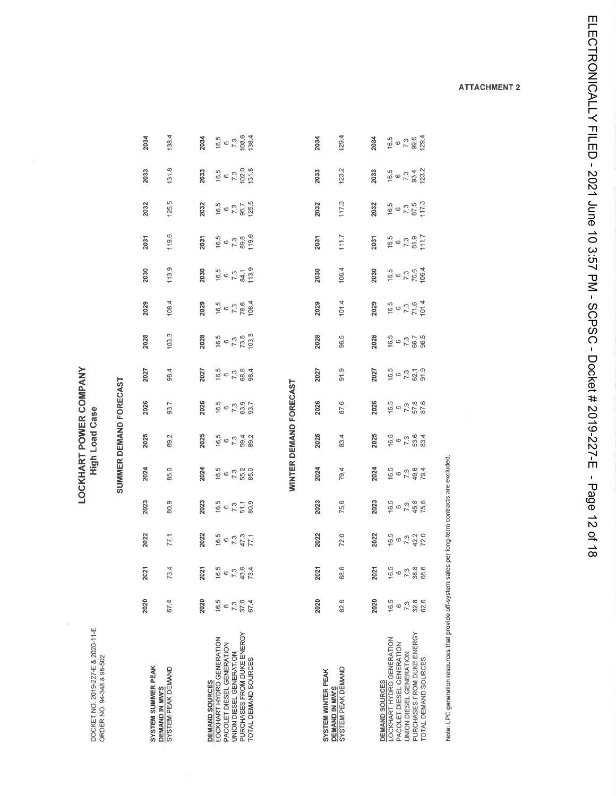DOCKET NO. 2019-227-E & 2020-11-E<br>ORDER NO. 94-348 & 98-502

 $\bar{\alpha}$ 

### LOCKHART POWER COMPANY<br>High Load Case

### SUMMER DEMAND FORECAST

| <b>SYSTEM SUMMER PEAK</b>                  | 2020                | 2021                                 | 2022                                    | 2023                               | 2024 | 2025                         | 2026                               | 2027                              | 2028                                | 2029                                 | 2030                                | 2031                               | 2032                                  | 2033                                    | 2034                         |
|--------------------------------------------|---------------------|--------------------------------------|-----------------------------------------|------------------------------------|------|------------------------------|------------------------------------|-----------------------------------|-------------------------------------|--------------------------------------|-------------------------------------|------------------------------------|---------------------------------------|-----------------------------------------|------------------------------|
| SYSTEM PEAK DEMAND<br><b>DEMAND IN MWS</b> | 67.4                | 73.4                                 | 77,1                                    | 80.9                               | 85.0 | 89,2                         | 93.7                               | 98.4                              | 103.3                               | 108.4                                | 113.9                               | 119.6                              | 125,5                                 | 131.8                                   | 138.4                        |
|                                            | 2020                | 2021                                 | 2022                                    | 2023                               | 2024 | 2025                         | 2026                               | 2027                              | 2028                                | 2029                                 | 2030                                | 2031                               | 2032                                  | 2033                                    |                              |
| OCKHART HYDRO GENERATION<br>DEMAND SOURCES | 16.5                | $16.5$<br>$6.3$<br>$7.3.4$<br>$73.4$ | $16.5$<br>$6$ $7.3$<br>$47.3$<br>$77.1$ | $16.5$<br>$6.73$<br>$5.3$<br>$5.3$ |      |                              | $16.5$<br>$6.7$<br>$7.3$<br>$93.7$ |                                   | $16.5$<br>$6.7$<br>$7,5$<br>$103.3$ | $16.5$<br>$7.3$<br>$78.6$<br>$108.4$ |                                     |                                    |                                       |                                         | 2034<br>1950<br>1950<br>1954 |
| <b>ACOLET DIESEL GENERATION</b>            | G                   |                                      |                                         |                                    |      |                              |                                    |                                   |                                     |                                      |                                     |                                    |                                       |                                         |                              |
| <b>JNION DIESEL GENERATION</b>             | 7.3<br>37.6<br>67.4 |                                      |                                         |                                    |      | $16.5$<br>$7.3$ 59.2<br>59.3 |                                    | $16.5$<br>$6.3$<br>$6.3$<br>$6.4$ |                                     |                                      | $16.5$<br>$6.73$<br>$7.3$<br>$13.9$ | $16.5$<br>$7.3$<br>$7.3$<br>$19.6$ | $16.5$<br>$6$ 7.3<br>$7,7$<br>$125.5$ | $16.5$<br>$-7.3$<br>$-102.0$<br>$-13.3$ |                              |
| URCHASES FROM DUKE ENERGY                  |                     |                                      |                                         |                                    |      |                              |                                    |                                   |                                     |                                      |                                     |                                    |                                       |                                         |                              |
| OTAL DEMAND SOURCES                        |                     |                                      |                                         |                                    |      |                              |                                    |                                   |                                     |                                      |                                     |                                    |                                       |                                         |                              |
|                                            |                     |                                      |                                         |                                    |      |                              |                                    |                                   |                                     |                                      |                                     |                                    |                                       |                                         |                              |
|                                            |                     |                                      |                                         |                                    |      |                              |                                    |                                   |                                     |                                      |                                     |                                    |                                       |                                         |                              |

### WINTER DEMAND FORECAST

| <b>SYSTEM WINTER PEAK</b>                        | 2020 | <b>2021</b>                         | 2022                              | 2023                                       | 2024                        | 2025                                           | 2026                                  | 2027                          | 2028                              | 2029                                 | 2030                                 | 2031                                  | 2032                                | 2033                                 | 2034                                   |
|--------------------------------------------------|------|-------------------------------------|-----------------------------------|--------------------------------------------|-----------------------------|------------------------------------------------|---------------------------------------|-------------------------------|-----------------------------------|--------------------------------------|--------------------------------------|---------------------------------------|-------------------------------------|--------------------------------------|----------------------------------------|
| <b>SYTEM PEAK DEMAND</b><br><b>DEMAND IN MWS</b> | 62.6 | 68.6                                | 72.0                              | 75.6                                       | 79.4                        | 83.4                                           | 87.6                                  | 91.9                          | 96.5                              | 101.4                                | 106.4                                | 111.7                                 | 117.3                               | 123.2                                | 129.4                                  |
|                                                  | 2020 | 2021                                | 2022                              | 2023                                       | 2024                        | 2025                                           | 2026                                  | 2027                          | 2028                              | 2029                                 | 2030                                 | 2031                                  | 2032                                | 2033                                 | 2034                                   |
| <b>DEMAND SOURCES</b>                            |      |                                     |                                   |                                            |                             |                                                |                                       |                               |                                   |                                      |                                      |                                       |                                     |                                      |                                        |
| <b>DCKHART HYDRO GENERATION</b>                  | 16.5 |                                     |                                   |                                            |                             |                                                |                                       |                               |                                   |                                      |                                      |                                       |                                     |                                      |                                        |
| <b>ACOLET DIESEL GENERATION</b>                  | 6    |                                     |                                   |                                            |                             |                                                |                                       |                               |                                   |                                      |                                      |                                       |                                     |                                      |                                        |
| <b>INION DIESEL GENERATION</b>                   | 73   |                                     |                                   |                                            |                             |                                                |                                       |                               |                                   |                                      |                                      |                                       |                                     |                                      |                                        |
| <b>PURCHASES FROM DUKE ENERGY</b>                | 32.8 | $6.5$<br>$0.2$<br>$0.38.8$<br>$0.8$ | 16.5<br>0 7.3<br>2 2 2 0<br>7 2 0 | $16.5$<br>$6$<br>$7,3$<br>$75.6$<br>$75.6$ | $16.5$<br>$-7.364$<br>$794$ | $16.5$<br>$-7.3$<br>$-3.3$<br>$-3.3$<br>$-3.4$ | $16.5$<br>$6$ 7.3<br>$57.8$<br>$57.8$ | 16.5<br>$673$<br>07.1<br>07.9 | $16.5$<br>$7.3$<br>$6.7$<br>$5.5$ | $16.5$<br>$7.3$<br>$71.6$<br>$101.4$ | $16.5$<br>$7.3$<br>$76.6$<br>$106.4$ | $16.5$<br>$-7.3$<br>$-3.1$<br>$-11.7$ | $16.5$<br>$7.3$<br>$17.3$<br>$17.3$ | 16.5<br> -<br>  7.3, 22.2<br>  123.2 | $16.5$<br>$6$ 7.3<br>$99.6$<br>$129.4$ |
| OTAL DEMAND SOURCES                              | 62.6 |                                     |                                   |                                            |                             |                                                |                                       |                               |                                   |                                      |                                      |                                       |                                     |                                      |                                        |

Note: LPC generation resources that provide off-system sales per long-term contracts are excluded.

**ATTACHMENT 2**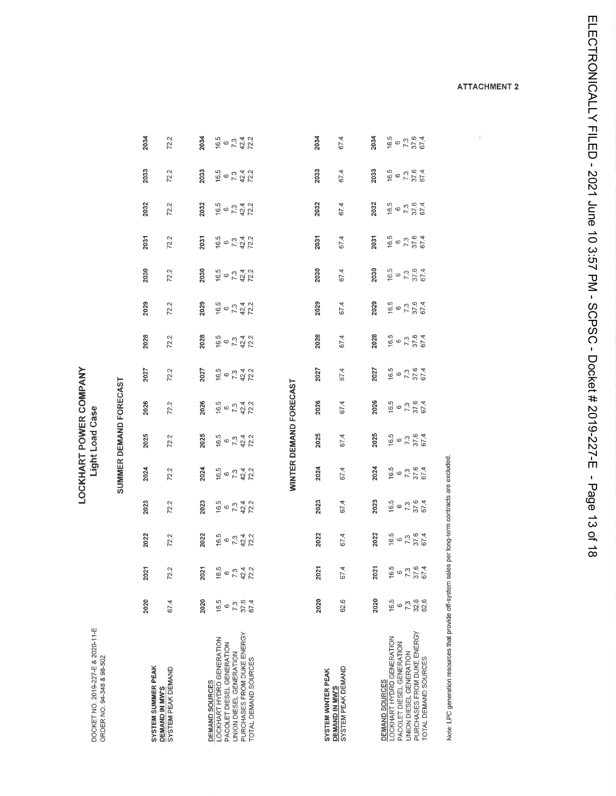2033  $16.5$ <br>  $-7.3$ <br>  $-37.6$ <br>  $-6.4$ 2033  $72.2$ 2033  $16.5$ <br>  $6$ <br>  $7.3$ <br>  $42.4$ <br>  $72.2$ 67.4 2033  $16.5$ <br>  $7.3$ <br>  $57.6$ <br>  $60$ <br>  $40$ 2032 2032 2032  $72.2$ 2032  $16.5$ <br>  $6$ <br>  $7.3$ <br>  $42.2$ <br>  $72.2$ 67.4  $16.5$ <br>  $6.73$ <br>  $576$ <br>  $674$ 2031  $16.5$ <br> $6$   $7.3$ <br> $42.2$ <br> $72.2$ 2031  $72.2$ 2031 67.4 2031  $\frac{65}{6}$ <br>  $\frac{73}{37.6}$ <br>
67.4 2030 2030 2030 72.2  $16.5$ <br> $7.3$ <br> $72.2$ <br> $72.2$  $67.4$ 2030 2029 2029  $16.5$ <br>  $7.3$ <br>  $42.4$ <br>  $72.2$  $72.2$ 2029 67.4 2029  $16.5$ <br>  $6.73$ <br>  $57.6$ <br>  $67.4$ 2028  $16.5$ <br>  $6.73$ <br>  $6.73$ <br>  $67.4$ 2028 2028  $16.5$ <br>  $6$  7.3<br>  $72.2$ <br>  $72.2$ 67.4 2028  $72.2$ LOCKHART POWER COMPANY 2027  $67.3$ <br> $7.3$ <br> $67.4$  $16.5$ <br>  $6$  7.3<br>  $42.4$ <br>  $72.2$ 2027  $72.2$ 2027 67.4 2027 16.5 SUMMER DEMAND FORECAST WINTER DEMAND FORECAST  $16.5$ <br>  $6.73$ <br>  $67.4$ <br>  $67.4$ 2026 2026 2026  $16.5$ <br>  $6$ <br>  $7.3$ <br>  $42.2$ <br>  $72.2$ 2026  $72.2$ 67.4 Light Load Case  $16.5$ <br> $6.73$ <br> $57.6$ <br> $67.4$ 2025 2025 2025  $16.5$ <br>  $7.3$ <br>  $42.4$ <br>  $72.2$ 2025 72.2 67.4  $67.3$ <br> $7.3$ <br> $67.4$ 16.5<br>  $67.3$ <br>  $42.4$ <br>  $72.2$ 16.5 2024 72.2 2024 2024 67.4 2024  $7.3$ <br> $37.6$ <br> $67.4$ 2023 2023 2023  $673472$ 67.4 16.5 2023 72.2  $16,5$  $\pmb{\omega}$ 2022 2022 2022 37,6<br>67,4  $16.5$ <br>  $6$   $7.3$ <br>  $42.2$ 16.5  $72.2$ 2022 67.4  $7.3\,$  $\circ$ 67.4 16.5 37.6<br>67.4 2021  $6734724$ 2021 2021  $72.2$ 2021 16.5  $\frac{6}{7}$ 2020  $16.5$ <br>  $6.73$ <br>  $6.73$ <br>  $6.74$ 2020 2020  $16.5$ <br> $-7.38$ <br> $-3.8$ <br> $-6.5$ 67.4 62.6 2020 DOCKET NO. 2019-227-E & 2020-11-E<br>ORDER NO. 94-348 & 98-502 PURCHASES FROM DUKE ENERGY PURCHASES FROM DUKE ENERGY<br>TOTAL DEMAND SOURCES LOCKHART HYDRO GENERATION<br>PACOLET DIESEL GENERATION **DEMAND SOURCES<br>LOCKHART HYDRO GENERATION** PACOLET DIESEL GENERATION UNION DIESEL GENERATION UNION DIESEL GENERATION TOTAL DEMAND SOURCES SYSTEM SUMMER PEAK **DEMAND IN MW'S<br>SYSTEM PEAK DEMAND** DEMAND IN MW'S<br>SYSTEM PEAK DEMAND SYSTEM WINTER PEAK **DEMAND SOURCES** 

2034

 $72.2$ 

 $16.5$ <br>  $0.3$ <br>  $7.3$ <br>  $42.2$ <br>  $72.2$ 

2034

Note: LPC generation resources that provide off-system sales per long-term contracts are excluded

**ATTACHMENT 2** 

i.

 $\frac{6.5}{6}$ <br>  $\frac{6}{7}$ , 3<br>  $\frac{3}{7}$ , 6<br>  $\frac{4}{7}$ 

2034

2034

67.4

ELECTRONICALLY FILED - 2021 June 10 3:57 PM - SCPSC - Docket # 2019-227-E - Page 13 of 18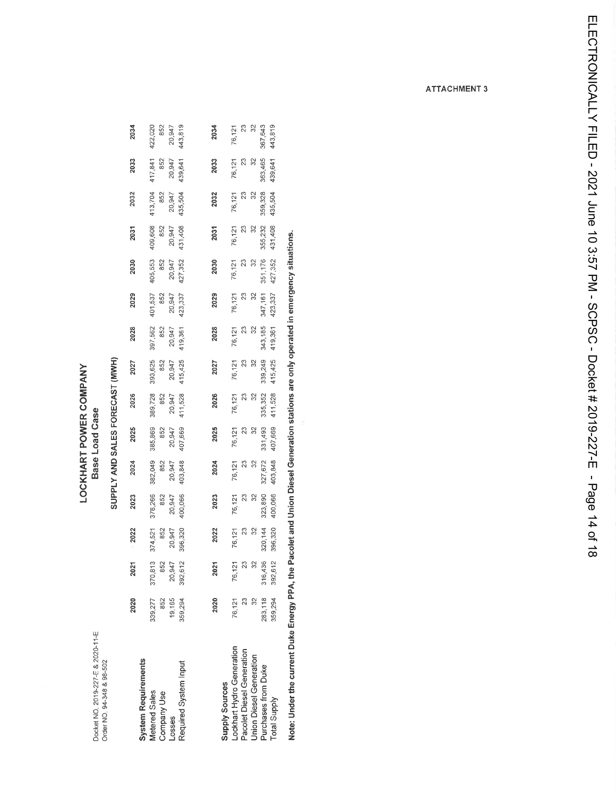Docket NO 2019-227-E & 2020-11-E<br>Order NO 34-348 & 98-502

### LOCKHART POWER COMPANY **Base Load Case**

# SUPPLY AND SALES FORECAST (MWH)

|                                                                   | 2020           | $\overline{a}$<br>Ñ                        | 2022               | 2023               | 2024               | 2025               | 2026               | 2027               | 2028               | 2029              | 2030               | 2031               | 2032           | 2033           | 2034              |
|-------------------------------------------------------------------|----------------|--------------------------------------------|--------------------|--------------------|--------------------|--------------------|--------------------|--------------------|--------------------|-------------------|--------------------|--------------------|----------------|----------------|-------------------|
| System Requirements<br><b><i>Metered Sales</i></b><br>Company Use | 339,277<br>852 | 370,813<br>852<br>20,947<br>392,612<br>370 | 374,521<br>852     | 378,266<br>852     | 382,049<br>852     | 385,869<br>852     | 389,728<br>852     | 393,625<br>852     | 397,562<br>852     | 401,537<br>852    | 405,553<br>852     | 409,608<br>852     | 852<br>413,704 | 417,841<br>852 | 422,020<br>852    |
| Losses                                                            | 19,165         |                                            | 20,947             | 20,947             | 20,947             | 20,947             | 20,947<br>411,528  | 20,947             | 20,947             |                   |                    | 20,947             | 20,947         | 20,947         |                   |
| Required System Input                                             | 359,294        | 392                                        | 396,320            | 100,066            | 403,848            | 407,669            |                    | 415,425            | 419,361            | 20,947<br>423,337 | 20,947<br>427,352  | 431,408            | 435,504        | 439,641        | 20,947<br>443,819 |
|                                                                   |                |                                            |                    |                    |                    |                    |                    |                    |                    |                   |                    |                    |                |                |                   |
|                                                                   | 2020           | 021<br>ς                                   | 2022               | 2023               | 2024               | 2025               | 2026               | 2027               | 2028               | 2029              | 2030               | 2031               | 2032           | 2033           | 2034              |
| supply Sources                                                    |                |                                            |                    |                    |                    |                    |                    |                    |                    |                   |                    |                    |                |                |                   |
| ockhart Hydro Generation                                          | 76,121         | 76.                                        |                    |                    |                    |                    |                    |                    |                    |                   |                    |                    |                |                | 76,121            |
| Pacolet Diesel Generation                                         | 23             | 127                                        | 76,121<br>23<br>32 | 76,121<br>23<br>32 | 76,121<br>23<br>32 | 76,121<br>23<br>32 | 76,121<br>23<br>32 | 76,121<br>23<br>32 | 76,127<br>23<br>32 | 76,121<br>23      | 76,121<br>23<br>32 | 76,121<br>23<br>32 | 76,121<br>23   | 76,121<br>23   |                   |
| <b>Jnion Diesel Generation</b>                                    |                | $\frac{2}{3}$                              |                    |                    |                    |                    |                    |                    |                    | $\frac{32}{3}$    |                    |                    | $\frac{2}{3}$  | $\frac{2}{3}$  | 23<br>32          |
| Purchases from Duke                                               | 283,118        | 316,436                                    | 320,144            | 323,890            | 327,672            | 331,493            | 335,352            | 339,249            | 343,185            | 347,161           | 351,176            | 355,232            | 359,328        | 363,465        | 367,643           |
| Total Supply                                                      | 359,294        | 612<br>392,                                | 396,320            | 400,066            | 403,848            | 407,669            | 411,528            | 415,425            | 419,361            | 423,337           | 427,352            | 431,408            | 435,504        | 439,641        | 443,819           |

Note: Under the current Duke Energy PPA, the Pacolet and Union Diesel Generation stations are only operated in emergency situations.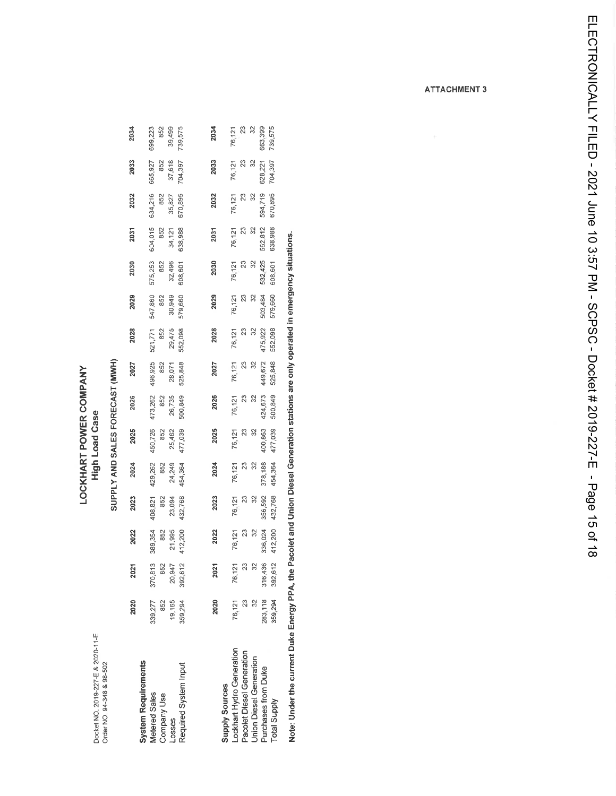Docket NO. 2019-227-E & 2020-11-E<br>Order NO. 94-348 & 98-502

### LOCKHART POWER COMPANY **High Load Case**

# SUPPLY AND SALES FORECAST (MWH)

|                                | 2020    | 2021                                | 2022                                | 2023                     | 2024                     | 2025                                | 2026                     | 2027                     | 2028                     | 2029                     | 2030               | 2031                                | 2032               | 2033                     | 2034               |
|--------------------------------|---------|-------------------------------------|-------------------------------------|--------------------------|--------------------------|-------------------------------------|--------------------------|--------------------------|--------------------------|--------------------------|--------------------|-------------------------------------|--------------------|--------------------------|--------------------|
| <b>System Requirements</b>     |         |                                     |                                     |                          |                          |                                     |                          |                          |                          |                          |                    |                                     |                    |                          |                    |
| Metered Sales                  | 339,277 |                                     |                                     |                          |                          |                                     |                          |                          |                          |                          | 575,253<br>852     |                                     | 634,216            | 665,927                  | 699,223            |
| Company Use                    | 852     |                                     |                                     | 408,821<br>852<br>23,094 |                          |                                     |                          |                          | 521,771<br>852<br>29,475 |                          |                    |                                     | 852                |                          | 852<br>39,499      |
| Losses                         | 19,165  |                                     |                                     |                          | 429,262<br>852<br>24,249 | 450,726<br>852<br>25,462<br>477,039 | 473,262<br>852<br>26,735 | 496,925<br>852<br>28,071 |                          | 547,860<br>852<br>30,949 | 32,496             | 604,015<br>852<br>34,121<br>638,988 | 35,827             | 852<br>37,618<br>704,397 |                    |
| Required System Input          | 359,294 | 370,813<br>852<br>20,947<br>392,612 | 389,354<br>852<br>21,995<br>412,200 | 132,768                  | 454,364                  |                                     | 500,849                  | 525,848                  | 552,098                  | 579,660                  | 608,601            |                                     | 670,895            |                          | 739,575            |
|                                |         |                                     |                                     |                          |                          |                                     |                          |                          |                          |                          |                    |                                     |                    |                          |                    |
|                                | 2020    | $\overline{21}$<br>ন                | 2022                                | 2023                     | 2024                     | 2025                                | 2026                     | 2027                     | 2028                     | 2029                     | 2030               | 2031                                | 2032               | 2033                     | 2034               |
| <b>Supply Sources</b>          |         |                                     |                                     |                          |                          |                                     |                          |                          |                          |                          |                    |                                     |                    |                          |                    |
| ockhart Hydro Generation       | 76,121  |                                     |                                     |                          |                          |                                     |                          |                          |                          |                          |                    |                                     |                    |                          |                    |
| Pacolet Diesel Generation      | 23      | 76,121<br>23<br>32                  | 76, 121<br>23<br>32                 | 76,121<br>23<br>32       | 76,121<br>23<br>32       | 76,121<br>23<br>32                  | 76,121<br>23<br>32       | $\frac{76,121}{23}$      | 76,121<br>23<br>32       | 76,121<br>23<br>32       | 76,121<br>23<br>32 | 76,121<br>23<br>76                  | 76,121<br>23<br>32 | 76,121<br>23<br>32       | 76,121<br>23<br>32 |
| <b>Union Diesel Generation</b> |         |                                     |                                     |                          |                          |                                     |                          |                          |                          |                          |                    |                                     |                    |                          |                    |
| Purchases from Duke            | 283,118 | 316,436                             | 336,024                             | 356,592                  | 378,188                  | 400,863                             | 424,673                  | 449,672                  | 475,922                  | 503,484                  | 532,425            | 562,812                             | 594,719            | 628,221                  | 663,399            |
| <b>Total Supply</b>            | 359,294 | 392,612                             | 412,200                             | 432,768                  | 454,364                  | 477,039                             | 500,849                  | 525,848                  | 552,098                  | 579,660                  | 608,601            | 638,988                             | 670,895            | 704,397                  | 739,575            |
|                                |         |                                     |                                     |                          |                          |                                     |                          |                          |                          |                          |                    |                                     |                    |                          |                    |

Note: Under the current Duke Energy PPA, the Pacolet and Union Diesel Generation stations are only operated in emergency situations.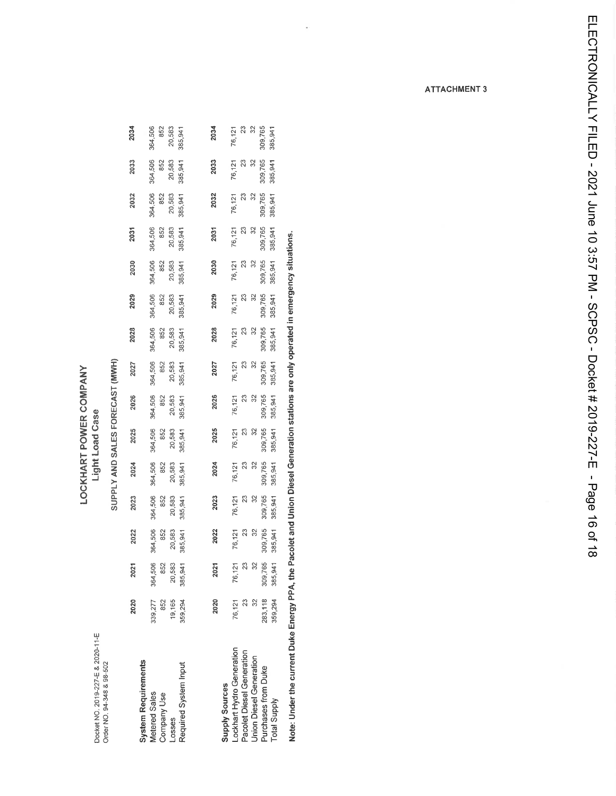Docket NO. 2019-227-E & 2020-11-E<br>Order NO. 94-348 & 98-502

### **LOCKHART POWER COMPANY** Light Load Case

# SUPPLY AND SALES FORECAST (MWH)

|                                                            | 2020           | 21<br>ন         | 2022            | 2023           | 2024           | 2025                       | 2026           | 2027           | 2028           | 2029                       | 2030           | 2031                       | 2032           | 2033           | 2034           |
|------------------------------------------------------------|----------------|-----------------|-----------------|----------------|----------------|----------------------------|----------------|----------------|----------------|----------------------------|----------------|----------------------------|----------------|----------------|----------------|
| System Requirements<br><b>Metered Sales</b><br>Company Use | 339,277<br>852 | 364,506<br>852  | 364,506<br>852  | 364,506<br>852 | 364,506<br>852 | 364,506<br>852             | 364,506<br>852 | 364,506<br>852 | 364,506<br>852 | 364,506<br>852             | 364,506<br>852 | 364,506<br>852             | 364,506<br>852 | 364,506<br>852 | 364,506<br>852 |
| .osses                                                     | 19,165         | 20,583          | 20,583          | 20,583         | 20,583         | 20,583                     | 20,583         | 20,583         | 20,583         | 20,583                     | 20,583         | 20,583                     | 20,583         | 20,583         | 20,583         |
| Required System Input                                      | 359,294        | 385,941         | 385,941         | 385,941        | 385,941        | 385,941                    | 385,94         | 385,941        | 385,941        | 385,941                    | 385,941        | 385,941                    | 385,941        | 385,941        | 385,941        |
|                                                            |                |                 |                 |                |                |                            |                |                |                |                            |                |                            |                |                |                |
|                                                            | 2020           | 21<br>ิจ        | 2022            | 2023           | 2024           | 2025                       | 2026           | 2027           | 2028           | 2029                       | 2030           | 2031                       | 2032           | 2033           | 2034           |
| supply Sources                                             |                |                 |                 |                |                |                            |                |                |                |                            |                |                            |                |                |                |
| ockhart Hydro Generation                                   | 76,121         | 76,121          | 76,121          | 76,121         | 76,121         | 76,121                     | 76,121         | 76,121         | 76,121         | 76,121                     | 76,121         | 76,121                     | 76,121         | 76,121         | 76,121         |
| Pacolet Diesel Generation                                  | 23             | $\overline{23}$ | $\overline{23}$ | 23             | $\approx$      | $\boldsymbol{\mathcal{Z}}$ | $\frac{23}{2}$ | 23             | $\frac{23}{2}$ | $\boldsymbol{\mathcal{Z}}$ | $\mathbb{Z}^3$ | $\boldsymbol{\mathcal{Z}}$ | 23             | $\mathbb{S}^2$ | $\frac{3}{2}$  |
| <b>Jnion Diesel Generation</b>                             |                | 32              | 32              | ೫              | ೫              | ೫                          | 32             | S              | 32             | 32                         | 3              | $\frac{2}{3}$              | 32             | 32             | 32             |
| urchases from Duke                                         | 283,118        | 309,765         | 309,765         | 309,765        | 309,765        | 309,765                    | 309,765        | 309,765        | 309,765        | 309,765                    | 309,765        | 309,765                    | 309,765        | 309,765        | 309,765        |
| <b>Total Supply</b>                                        | 359,294        | 385,941         | 385,941         | 385,941        | 385,941        | 385,941                    | 385,941        | 385,941        | 385,941        | 385,941                    | 385,941        | 385,941                    | 385,941        | 385,941        | 385,941        |

Note: Under the current Duke Energy PPA, the Pacolet and Union Diesel Generation stations are only operated in emergency situations.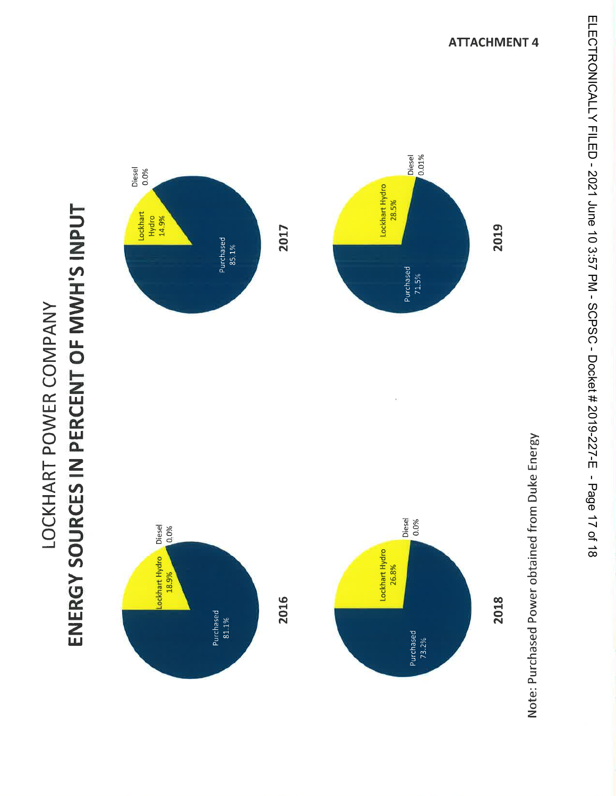

# ENERGY SOURCES IN PERCENT OF MWH'S INPUT LOCKHART POWER COMPANY

ELECTRONICALLY FILED - 2021 June 10 3:57 PM - SCPSC - Docket # 2019-227-E - Page 17 of 18

**ATTACHMENT 4**